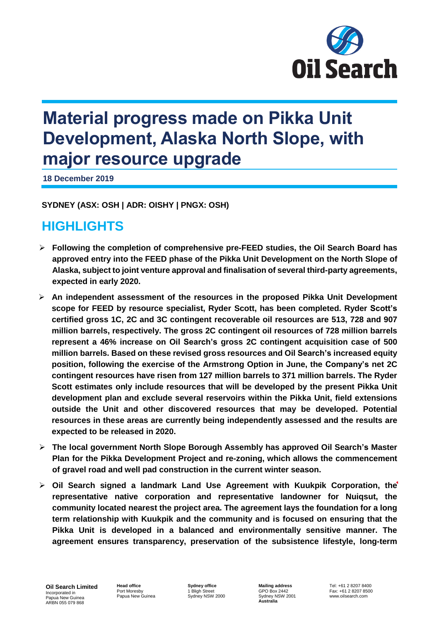

# **Material progress made on Pikka Unit Development, Alaska North Slope, with major resource upgrade**

**18 December 2019**

**SYDNEY (ASX: OSH | ADR: OISHY | PNGX: OSH)** 

# **HIGHLIGHTS**

- ➢ **Following the completion of comprehensive pre-FEED studies, the Oil Search Board has approved entry into the FEED phase of the Pikka Unit Development on the North Slope of Alaska, subject to joint venture approval and finalisation of several third-party agreements, expected in early 2020.**
- ➢ **An independent assessment of the resources in the proposed Pikka Unit Development scope for FEED by resource specialist, Ryder Scott, has been completed. Ryder Scott's certified gross 1C, 2C and 3C contingent recoverable oil resources are 513, 728 and 907 million barrels, respectively. The gross 2C contingent oil resources of 728 million barrels represent a 46% increase on Oil Search's gross 2C contingent acquisition case of 500 million barrels. Based on these revised gross resources and Oil Search's increased equity position, following the exercise of the Armstrong Option in June, the Company's net 2C contingent resources have risen from 127 million barrels to 371 million barrels. The Ryder Scott estimates only include resources that will be developed by the present Pikka Unit development plan and exclude several reservoirs within the Pikka Unit, field extensions outside the Unit and other discovered resources that may be developed. Potential resources in these areas are currently being independently assessed and the results are expected to be released in 2020.**
- ➢ **The local government North Slope Borough Assembly has approved Oil Search's Master Plan for the Pikka Development Project and re-zoning, which allows the commencement of gravel road and well pad construction in the current winter season.**
- ➢ **Oil Search signed a landmark Land Use Agreement with Kuukpik Corporation, the representative native corporation and representative landowner for Nuiqsut, the community located nearest the project area. The agreement lays the foundation for a long term relationship with Kuukpik and the community and is focused on ensuring that the Pikka Unit is developed in a balanced and environmentally sensitive manner. The agreement ensures transparency, preservation of the subsistence lifestyle, long-term**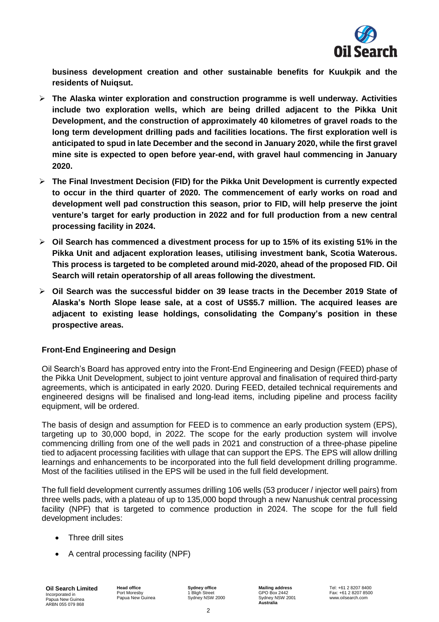

**business development creation and other sustainable benefits for Kuukpik and the residents of Nuiqsut.**

- ➢ **The Alaska winter exploration and construction programme is well underway. Activities include two exploration wells, which are being drilled adjacent to the Pikka Unit Development, and the construction of approximately 40 kilometres of gravel roads to the long term development drilling pads and facilities locations. The first exploration well is anticipated to spud in late December and the second in January 2020, while the first gravel mine site is expected to open before year-end, with gravel haul commencing in January 2020.**
- ➢ **The Final Investment Decision (FID) for the Pikka Unit Development is currently expected to occur in the third quarter of 2020. The commencement of early works on road and development well pad construction this season, prior to FID, will help preserve the joint venture's target for early production in 2022 and for full production from a new central processing facility in 2024.**
- ➢ **Oil Search has commenced a divestment process for up to 15% of its existing 51% in the Pikka Unit and adjacent exploration leases, utilising investment bank, Scotia Waterous. This process is targeted to be completed around mid-2020, ahead of the proposed FID. Oil Search will retain operatorship of all areas following the divestment.**
- ➢ **Oil Search was the successful bidder on 39 lease tracts in the December 2019 State of Alaska's North Slope lease sale, at a cost of US\$5.7 million. The acquired leases are adjacent to existing lease holdings, consolidating the Company's position in these prospective areas.**

# **Front-End Engineering and Design**

Oil Search's Board has approved entry into the Front-End Engineering and Design (FEED) phase of the Pikka Unit Development, subject to joint venture approval and finalisation of required third-party agreements, which is anticipated in early 2020. During FEED, detailed technical requirements and engineered designs will be finalised and long-lead items, including pipeline and process facility equipment, will be ordered.

The basis of design and assumption for FEED is to commence an early production system (EPS), targeting up to 30,000 bopd, in 2022. The scope for the early production system will involve commencing drilling from one of the well pads in 2021 and construction of a three-phase pipeline tied to adjacent processing facilities with ullage that can support the EPS. The EPS will allow drilling learnings and enhancements to be incorporated into the full field development drilling programme. Most of the facilities utilised in the EPS will be used in the full field development.

The full field development currently assumes drilling 106 wells (53 producer / injector well pairs) from three wells pads, with a plateau of up to 135,000 bopd through a new Nanushuk central processing facility (NPF) that is targeted to commence production in 2024. The scope for the full field development includes:

- Three drill sites
- A central processing facility (NPF)

**Head office** Port Moresby Papua New Guinea **Sydney office** Bligh Sydney NSW 2000 **Mailing address** GPO Box 2442 Sydney NSW 2001 **Australia**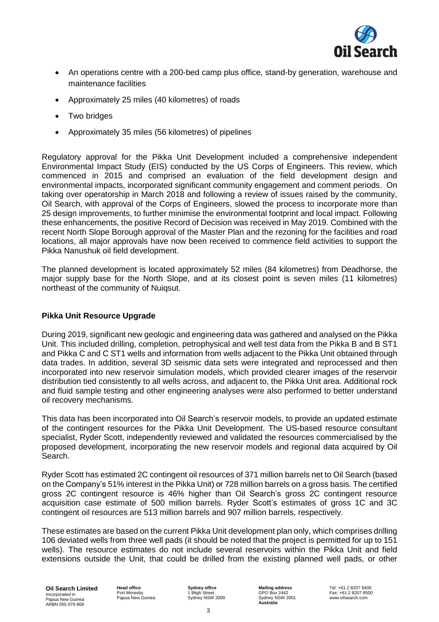

- An operations centre with a 200-bed camp plus office, stand-by generation, warehouse and maintenance facilities
- Approximately 25 miles (40 kilometres) of roads
- Two bridges
- Approximately 35 miles (56 kilometres) of pipelines

Regulatory approval for the Pikka Unit Development included a comprehensive independent Environmental Impact Study (EIS) conducted by the US Corps of Engineers. This review, which commenced in 2015 and comprised an evaluation of the field development design and environmental impacts, incorporated significant community engagement and comment periods. On taking over operatorship in March 2018 and following a review of issues raised by the community, Oil Search, with approval of the Corps of Engineers, slowed the process to incorporate more than 25 design improvements, to further minimise the environmental footprint and local impact. Following these enhancements, the positive Record of Decision was received in May 2019. Combined with the recent North Slope Borough approval of the Master Plan and the rezoning for the facilities and road locations, all major approvals have now been received to commence field activities to support the Pikka Nanushuk oil field development.

The planned development is located approximately 52 miles (84 kilometres) from Deadhorse, the major supply base for the North Slope, and at its closest point is seven miles (11 kilometres) northeast of the community of Nuiqsut.

# **Pikka Unit Resource Upgrade**

During 2019, significant new geologic and engineering data was gathered and analysed on the Pikka Unit. This included drilling, completion, petrophysical and well test data from the Pikka B and B ST1 and Pikka C and C ST1 wells and information from wells adjacent to the Pikka Unit obtained through data trades. In addition, several 3D seismic data sets were integrated and reprocessed and then incorporated into new reservoir simulation models, which provided clearer images of the reservoir distribution tied consistently to all wells across, and adjacent to, the Pikka Unit area. Additional rock and fluid sample testing and other engineering analyses were also performed to better understand oil recovery mechanisms.

This data has been incorporated into Oil Search's reservoir models, to provide an updated estimate of the contingent resources for the Pikka Unit Development. The US-based resource consultant specialist, Ryder Scott, independently reviewed and validated the resources commercialised by the proposed development, incorporating the new reservoir models and regional data acquired by Oil Search.

Ryder Scott has estimated 2C contingent oil resources of 371 million barrels net to Oil Search (based on the Company's 51% interest in the Pikka Unit) or 728 million barrels on a gross basis. The certified gross 2C contingent resource is 46% higher than Oil Search's gross 2C contingent resource acquisition case estimate of 500 million barrels. Ryder Scott's estimates of gross 1C and 3C contingent oil resources are 513 million barrels and 907 million barrels, respectively.

These estimates are based on the current Pikka Unit development plan only, which comprises drilling 106 deviated wells from three well pads (it should be noted that the project is permitted for up to 151 wells). The resource estimates do not include several reservoirs within the Pikka Unit and field extensions outside the Unit, that could be drilled from the existing planned well pads, or other

**Oil Search Limited** Incorporated in Papua New Guinea ARBN 055 079 868

**Head office** Port Moresby Papua New Guinea **Sydney office** 1 Bligh Street Sydney NSW 2000 **Mailing address** GPO Box 2442 Sydney NSW 2001 **Australia**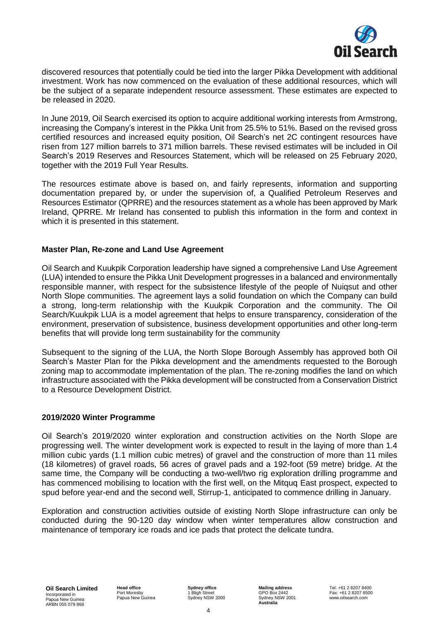

discovered resources that potentially could be tied into the larger Pikka Development with additional investment. Work has now commenced on the evaluation of these additional resources, which will be the subject of a separate independent resource assessment. These estimates are expected to be released in 2020.

In June 2019, Oil Search exercised its option to acquire additional working interests from Armstrong, increasing the Company's interest in the Pikka Unit from 25.5% to 51%. Based on the revised gross certified resources and increased equity position, Oil Search's net 2C contingent resources have risen from 127 million barrels to 371 million barrels. These revised estimates will be included in Oil Search's 2019 Reserves and Resources Statement, which will be released on 25 February 2020, together with the 2019 Full Year Results.

The resources estimate above is based on, and fairly represents, information and supporting documentation prepared by, or under the supervision of, a Qualified Petroleum Reserves and Resources Estimator (QPRRE) and the resources statement as a whole has been approved by Mark Ireland, QPRRE. Mr Ireland has consented to publish this information in the form and context in which it is presented in this statement.

#### **Master Plan, Re-zone and Land Use Agreement**

Oil Search and Kuukpik Corporation leadership have signed a comprehensive Land Use Agreement (LUA) intended to ensure the Pikka Unit Development progresses in a balanced and environmentally responsible manner, with respect for the subsistence lifestyle of the people of Nuiqsut and other North Slope communities. The agreement lays a solid foundation on which the Company can build a strong, long-term relationship with the Kuukpik Corporation and the community. The Oil Search/Kuukpik LUA is a model agreement that helps to ensure transparency, consideration of the environment, preservation of subsistence, business development opportunities and other long-term benefits that will provide long term sustainability for the community

Subsequent to the signing of the LUA, the North Slope Borough Assembly has approved both Oil Search's Master Plan for the Pikka development and the amendments requested to the Borough zoning map to accommodate implementation of the plan. The re-zoning modifies the land on which infrastructure associated with the Pikka development will be constructed from a Conservation District to a Resource Development District.

# **2019/2020 Winter Programme**

Oil Search's 2019/2020 winter exploration and construction activities on the North Slope are progressing well. The winter development work is expected to result in the laying of more than 1.4 million cubic yards (1.1 million cubic metres) of gravel and the construction of more than 11 miles (18 kilometres) of gravel roads, 56 acres of gravel pads and a 192-foot (59 metre) bridge. At the same time, the Company will be conducting a two-well/two rig exploration drilling programme and has commenced mobilising to location with the first well, on the Mitquq East prospect, expected to spud before year-end and the second well, Stirrup-1, anticipated to commence drilling in January.

Exploration and construction activities outside of existing North Slope infrastructure can only be conducted during the 90-120 day window when winter temperatures allow construction and maintenance of temporary ice roads and ice pads that protect the delicate tundra.

**Oil Search Limited** Incorporated in Papua New Guinea ARBN 055 079 868

**Head office** Port Moresby Papua New Guinea **Sydney office** 1 Bligh Street Sydney NSW 2000 **Mailing address** GPO Box 2442 Sydney NSW 2001 **Australia**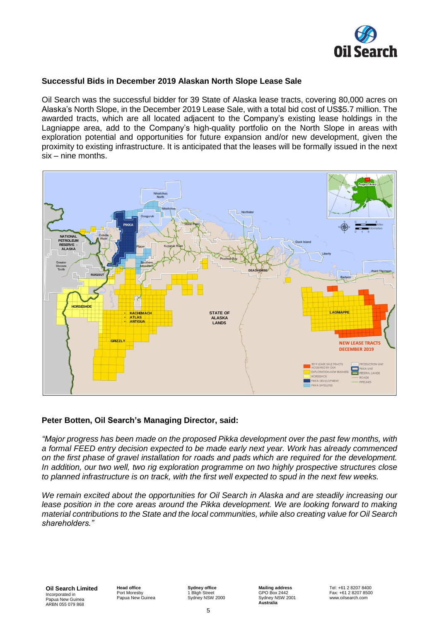

# **Successful Bids in December 2019 Alaskan North Slope Lease Sale**

Oil Search was the successful bidder for 39 State of Alaska lease tracts, covering 80,000 acres on Alaska's North Slope, in the December 2019 Lease Sale, with a total bid cost of US\$5.7 million. The awarded tracts, which are all located adjacent to the Company's existing lease holdings in the Lagniappe area, add to the Company's high-quality portfolio on the North Slope in areas with exploration potential and opportunities for future expansion and/or new development, given the proximity to existing infrastructure. It is anticipated that the leases will be formally issued in the next six – nine months.



#### **Peter Botten, Oil Search's Managing Director, said:**

*"Major progress has been made on the proposed Pikka development over the past few months, with a formal FEED entry decision expected to be made early next year. Work has already commenced on the first phase of gravel installation for roads and pads which are required for the development. In addition, our two well, two rig exploration programme on two highly prospective structures close* to planned infrastructure is on track, with the first well expected to spud in the next few weeks.

*We remain excited about the opportunities for Oil Search in Alaska and are steadily increasing our lease position in the core areas around the Pikka development. We are looking forward to making material contributions to the State and the local communities, while also creating value for Oil Search shareholders."*

**Oil Search Limited** Incorporated in Papua New Guinea ARBN 055 079 868

**Head office** Port Moresby Papua New Guinea **Sydney office Bligh** Sydney NSW 2000 **Mailing address** GPO Box 2442 Sydney NSW 2001 **Australia**